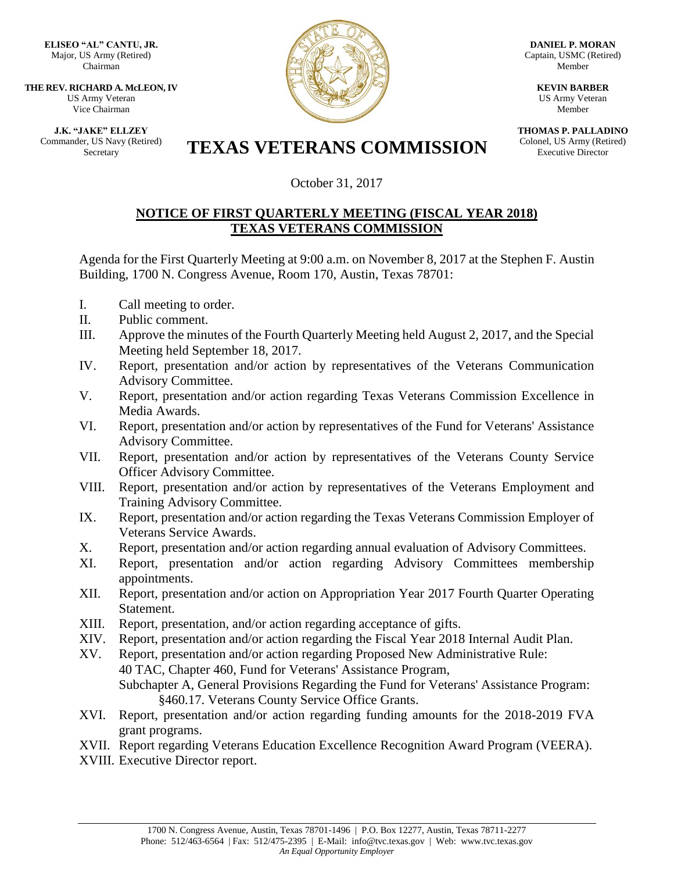**ELISEO "AL" CANTU, JR.** Major, US Army (Retired) Chairman

**THE REV. RICHARD A. McLEON, IV** US Army Veteran Vice Chairman

**J.K. "JAKE" ELLZEY** Commander, US Navy (Retired)



**DANIEL P. MORAN** Captain, USMC (Retired) Member

> **KEVIN BARBER** US Army Veteran Member

**THOMAS P. PALLADINO** Colonel, US Army (Retired) Executive Director

## ET, US Navy (Retired) **TEXAS VETERANS COMMISSION**

October 31, 2017

## **NOTICE OF FIRST QUARTERLY MEETING (FISCAL YEAR 2018) TEXAS VETERANS COMMISSION**

Agenda for the First Quarterly Meeting at 9:00 a.m. on November 8, 2017 at the Stephen F. Austin Building, 1700 N. Congress Avenue, Room 170, Austin, Texas 78701:

- I. Call meeting to order.
- II. Public comment.
- III. Approve the minutes of the Fourth Quarterly Meeting held August 2, 2017, and the Special Meeting held September 18, 2017.
- IV. Report, presentation and/or action by representatives of the Veterans Communication Advisory Committee.
- V. Report, presentation and/or action regarding Texas Veterans Commission Excellence in Media Awards.
- VI. Report, presentation and/or action by representatives of the Fund for Veterans' Assistance Advisory Committee.
- VII. Report, presentation and/or action by representatives of the Veterans County Service Officer Advisory Committee.
- VIII. Report, presentation and/or action by representatives of the Veterans Employment and Training Advisory Committee.
- IX. Report, presentation and/or action regarding the Texas Veterans Commission Employer of Veterans Service Awards.
- X. Report, presentation and/or action regarding annual evaluation of Advisory Committees.
- XI. Report, presentation and/or action regarding Advisory Committees membership appointments.
- XII. Report, presentation and/or action on Appropriation Year 2017 Fourth Quarter Operating Statement.
- XIII. Report, presentation, and/or action regarding acceptance of gifts.
- XIV. Report, presentation and/or action regarding the Fiscal Year 2018 Internal Audit Plan.
- XV. Report, presentation and/or action regarding Proposed New Administrative Rule: 40 TAC, Chapter 460, Fund for Veterans' Assistance Program, Subchapter A, General Provisions Regarding the Fund for Veterans' Assistance Program: §460.17. Veterans County Service Office Grants.
- XVI. Report, presentation and/or action regarding funding amounts for the 2018-2019 FVA grant programs.
- XVII. Report regarding Veterans Education Excellence Recognition Award Program (VEERA).
- XVIII. Executive Director report.